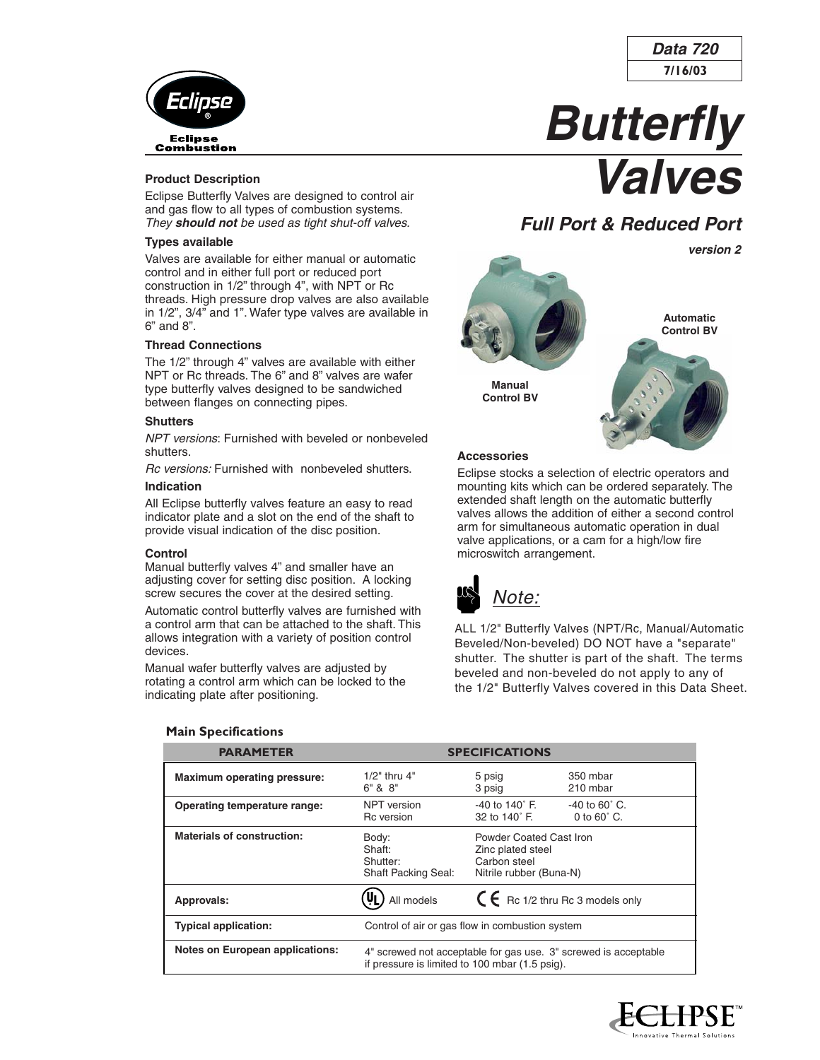

#### **Product Description**

Eclipse Butterfly Valves are designed to control air and gas flow to all types of combustion systems. They **should not** be used as tight shut-off valves.

#### **Types available**

Valves are available for either manual or automatic control and in either full port or reduced port construction in 1/2" through 4", with NPT or Rc threads. High pressure drop valves are also available in 1/2", 3/4" and 1". Wafer type valves are available in 6" and 8".

#### **Thread Connections**

The 1/2" through 4" valves are available with either NPT or Rc threads. The 6" and 8" valves are wafer type butterfly valves designed to be sandwiched between flanges on connecting pipes.

#### **Shutters**

NPT versions: Furnished with beveled or nonbeveled shutters.

Rc versions: Furnished with nonbeveled shutters. **Indication**

All Eclipse butterfly valves feature an easy to read indicator plate and a slot on the end of the shaft to provide visual indication of the disc position.

#### **Control**

Manual butterfly valves 4" and smaller have an adjusting cover for setting disc position. A locking screw secures the cover at the desired setting.

Automatic control butterfly valves are furnished with a control arm that can be attached to the shaft. This allows integration with a variety of position control devices.

Manual wafer butterfly valves are adjusted by rotating a control arm which can be locked to the indicating plate after positioning.



Eclipse stocks a selection of electric operators and mounting kits which can be ordered separately. The extended shaft length on the automatic butterfly valves allows the addition of either a second control arm for simultaneous automatic operation in dual valve applications, or a cam for a high/low fire microswitch arrangement.



ALL 1/2" Butterfly Valves (NPT/Rc, Manual/Automatic Beveled/Non-beveled) DO NOT have a "separate" shutter. The shutter is part of the shaft. The terms beveled and non-beveled do not apply to any of the 1/2" Butterfly Valves covered in this Data Sheet.

| <b>PARAMETER</b>                       |                                                           | <b>SPECIFICATIONS</b>                                                                   |                                                                 |  |  |  |
|----------------------------------------|-----------------------------------------------------------|-----------------------------------------------------------------------------------------|-----------------------------------------------------------------|--|--|--|
| <b>Maximum operating pressure:</b>     | $1/2$ " thru $4$ "<br>$6"$ & $8"$                         | 5 psig<br>3 psig                                                                        | 350 mbar<br>210 mbar                                            |  |  |  |
| Operating temperature range:           | NPT version<br>Rc version                                 | $-40$ to $140^\circ$ F.<br>32 to 140° F.                                                | $-40$ to 60 $^{\circ}$ C.<br>0 to $60^\circ$ C.                 |  |  |  |
| <b>Materials of construction:</b>      | Body:<br>Shaft:<br>Shutter:<br><b>Shaft Packing Seal:</b> | Powder Coated Cast Iron<br>Zinc plated steel<br>Carbon steel<br>Nitrile rubber (Buna-N) |                                                                 |  |  |  |
| Approvals:                             | All models                                                | $C \in$ Rc 1/2 thru Rc 3 models only                                                    |                                                                 |  |  |  |
| <b>Typical application:</b>            | Control of air or gas flow in combustion system           |                                                                                         |                                                                 |  |  |  |
| <b>Notes on European applications:</b> | if pressure is limited to 100 mbar (1.5 psig).            |                                                                                         | 4" screwed not acceptable for gas use. 3" screwed is acceptable |  |  |  |

#### **Main Specifications**





# **Butterfly Valves**

# **Full Port & Reduced Port**

**version 2**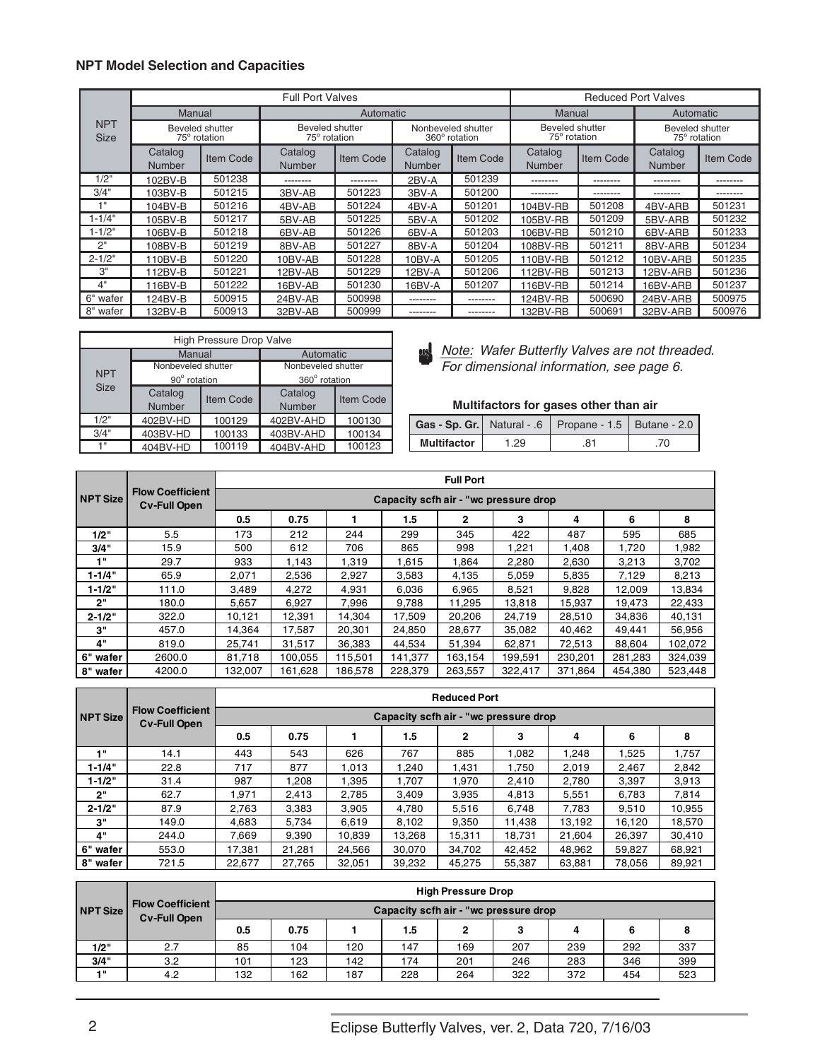#### **NPT Model Selection and Capacities**

|                           |                          |                                 | <b>Full Port Valves</b>                |           |                   |                                     |                                 |           | <b>Reduced Port Valves</b>      |           |
|---------------------------|--------------------------|---------------------------------|----------------------------------------|-----------|-------------------|-------------------------------------|---------------------------------|-----------|---------------------------------|-----------|
|                           |                          | Manual                          |                                        | Automatic |                   |                                     | Manual                          |           | Automatic                       |           |
| <b>NPT</b><br><b>Size</b> |                          | Beveled shutter<br>75° rotation | <b>Beveled shutter</b><br>75° rotation |           |                   | Nonbeveled shutter<br>360° rotation | Beveled shutter<br>75° rotation |           | Beveled shutter<br>75° rotation |           |
|                           | Catalog<br><b>Number</b> | <b>Item Code</b>                | Catalog<br><b>Number</b>               | Item Code | Catalog<br>Number | Item Code                           | Catalog<br><b>Number</b>        | Item Code | Catalog<br><b>Number</b>        | Item Code |
| 1/2"                      | 102BV-B                  | 501238                          | --------                               | --------  | 2BV-A             | 501239                              | --------                        | --------  | --------                        | --------  |
| 3/4"                      | 103BV-B                  | 501215                          | 3BV-AB                                 | 501223    | 3BV-A             | 501200                              | --------                        | --------  | --------                        | --------  |
| 4 H                       | 104BV-B                  | 501216                          | 4BV-AB                                 | 501224    | 4BV-A             | 501201                              | 104BV-RB                        | 501208    | 4BV-ARB                         | 501231    |
| 1-1/4"                    | 105BV-B                  | 501217                          | 5BV-AB                                 | 501225    | 5BV-A             | 501202                              | 105BV-RB                        | 501209    | 5BV-ARB                         | 501232    |
| 1-1/2"                    | 106BV-B                  | 501218                          | 6BV-AB                                 | 501226    | 6BV-A             | 501203                              | 106BV-RB                        | 501210    | 6BV-ARB                         | 501233    |
| 2"                        | 108BV-B                  | 501219                          | 8BV-AB                                 | 501227    | 8BV-A             | 501204                              | 108BV-RB                        | 501211    | 8BV-ARB                         | 501234    |
| $2 - 1/2"$                | 110BV-B                  | 501220                          | 10BV-AB                                | 501228    | 10BV-A            | 501205                              | 110BV-RB                        | 501212    | 10BV-ARB                        | 501235    |
| 3"                        | 112BV-B                  | 501221                          | 12BV-AB                                | 501229    | 12BV-A            | 501206                              | 112BV-RB                        | 501213    | 12BV-ARB                        | 501236    |
| 4"                        | 116BV-B                  | 501222                          | 16BV-AB                                | 501230    | 16BV-A            | 501207                              | 116BV-RB                        | 501214    | 16BV-ARB                        | 501237    |
| 6" wafer                  | 124BV-B                  | 500915                          | 24BV-AB                                | 500998    | --------          | --------                            | 124BV-RB                        | 500690    | 24BV-ARB                        | 500975    |
| 8" wafer                  | 132BV-B                  | 500913                          | 32BV-AB                                | 500999    | --------          | --------                            | 132BV-RB                        | 500691    | 32BV-ARB                        | 500976    |

| <b>High Pressure Drop Valve</b> |                    |           |                    |                  |  |  |  |  |  |
|---------------------------------|--------------------|-----------|--------------------|------------------|--|--|--|--|--|
|                                 | Manual             |           | Automatic          |                  |  |  |  |  |  |
|                                 | Nonbeveled shutter |           | Nonbeveled shutter |                  |  |  |  |  |  |
| <b>NPT</b>                      | 90° rotation       |           | 360° rotation      |                  |  |  |  |  |  |
| <b>Size</b>                     | Catalog            | Item Code | Catalog            | <b>Item Code</b> |  |  |  |  |  |
|                                 | Number             |           | Number             |                  |  |  |  |  |  |
| 1/2"                            | 402BV-HD           | 100129    | 402BV-AHD          | 100130           |  |  |  |  |  |
| 3/4"                            | 403BV-HD           | 100133    | 403BV-AHD          | 100134           |  |  |  |  |  |
| $4^{\circ}$                     | 404BV-HD           | 100119    | 404BV-AHD          | 100123           |  |  |  |  |  |

lote: Wafer Butterfly Valves are not threaded. For dimensional information, see page 6.

# **Multifactors for gases other than air**

|                    |      | Gas - Sp. Gr.   Natural - .6   Propane - 1.5   Butane - 2.0 |  |
|--------------------|------|-------------------------------------------------------------|--|
| <b>Multifactor</b> | 1.29 |                                                             |  |

|                 |                                                |         |                                       |         |         | <b>Full Port</b> |         |         |         |         |  |
|-----------------|------------------------------------------------|---------|---------------------------------------|---------|---------|------------------|---------|---------|---------|---------|--|
| <b>NPT Size</b> | <b>Flow Coefficient</b><br><b>Cv-Full Open</b> |         | Capacity scfh air - "wc pressure drop |         |         |                  |         |         |         |         |  |
|                 |                                                | 0.5     | 0.75                                  |         | 1.5     | $\mathbf{2}$     | 3       | 4       | 6       | 8       |  |
| 1/2"            | 5.5                                            | 173     | 212                                   | 244     | 299     | 345              | 422     | 487     | 595     | 685     |  |
| 3/4"            | 15.9                                           | 500     | 612                                   | 706     | 865     | 998              | 1,221   | 1,408   | 1,720   | 1,982   |  |
| 1"              | 29.7                                           | 933     | 1,143                                 | 1,319   | 1,615   | 1,864            | 2,280   | 2,630   | 3,213   | 3,702   |  |
| $1 - 1/4"$      | 65.9                                           | 2,071   | 2,536                                 | 2,927   | 3,583   | 4,135            | 5,059   | 5,835   | 7,129   | 8,213   |  |
| $1 - 1/2"$      | 111.0                                          | 3,489   | 4,272                                 | 4,931   | 6,036   | 6,965            | 8,521   | 9,828   | 12,009  | 13,834  |  |
| 2"              | 180.0                                          | 5,657   | 6,927                                 | 7,996   | 9,788   | 11,295           | 13,818  | 15,937  | 19,473  | 22,433  |  |
| $2 - 1/2"$      | 322.0                                          | 10,121  | 12,391                                | 14,304  | 17,509  | 20,206           | 24.719  | 28,510  | 34,836  | 40,131  |  |
| 3"              | 457.0                                          | 14,364  | 17,587                                | 20,301  | 24,850  | 28,677           | 35,082  | 40,462  | 49,441  | 56,956  |  |
| 4"              | 819.0                                          | 25,741  | 31,517                                | 36,383  | 44,534  | 51,394           | 62,871  | 72,513  | 88,604  | 102,072 |  |
| 6" wafer        | 2600.0                                         | 81,718  | 100,055                               | 115,501 | 141,377 | 163,154          | 199,591 | 230,201 | 281,283 | 324,039 |  |
| 8" wafer        | 4200.0                                         | 132.007 | 161.628                               | 186.578 | 228.379 | 263.557          | 322,417 | 371.864 | 454.380 | 523,448 |  |

|                 |                                                |        |        |        |        | <b>Reduced Port</b>                   |        |        |        |        |
|-----------------|------------------------------------------------|--------|--------|--------|--------|---------------------------------------|--------|--------|--------|--------|
| <b>NPT Size</b> | <b>Flow Coefficient</b><br><b>Cv-Full Open</b> |        |        |        |        | Capacity scfh air - "wc pressure drop |        |        |        |        |
|                 |                                                | 0.5    | 0.75   |        | 1.5    | 2                                     | 3      | 4      | 6      | 8      |
| 1"              | 14.1                                           | 443    | 543    | 626    | 767    | 885                                   | 1.082  | 1,248  | 1,525  | 1,757  |
| $1 - 1/4"$      | 22.8                                           | 717    | 877    | 1.013  | 1.240  | 1,431                                 | 1.750  | 2,019  | 2,467  | 2,842  |
| $1 - 1/2"$      | 31.4                                           | 987    | 1.208  | 1.395  | 1,707  | 1.970                                 | 2.410  | 2.780  | 3,397  | 3,913  |
| 2"              | 62.7                                           | ,971   | 2.413  | 2,785  | 3,409  | 3,935                                 | 4,813  | 5,551  | 6,783  | 7,814  |
| $2 - 1/2"$      | 87.9                                           | 2.763  | 3,383  | 3.905  | 4.780  | 5,516                                 | 6.748  | 7.783  | 9.510  | 10,955 |
| 3"              | 149.0                                          | 4,683  | 5,734  | 6,619  | 8,102  | 9,350                                 | 11,438 | 13,192 | 16,120 | 18,570 |
| 4"              | 244.0                                          | 7.669  | 9,390  | 10,839 | 13.268 | 15,311                                | 18,731 | 21,604 | 26,397 | 30.410 |
| 6" wafer        | 553.0                                          | 17.381 | 21.281 | 24.566 | 30.070 | 34.702                                | 42.452 | 48.962 | 59.827 | 68.921 |
| 8" wafer        | 721.5                                          | 22,677 | 27,765 | 32,051 | 39,232 | 45.275                                | 55,387 | 63,881 | 78,056 | 89,921 |

|                 |                                                |                                        |      |     |     | <b>High Pressure Drop</b> |     |     |     |     |  |
|-----------------|------------------------------------------------|----------------------------------------|------|-----|-----|---------------------------|-----|-----|-----|-----|--|
| <b>NPT Size</b> | <b>Flow Coefficient</b><br><b>Cv-Full Open</b> | Capacity scfh air - "wc pressure drop" |      |     |     |                           |     |     |     |     |  |
|                 |                                                | 0.5                                    | 0.75 |     | 1.5 |                           | 3   | 4   | 6   |     |  |
| 1/2"            | 2.7                                            | 85                                     | 104  | 120 | 147 | 169                       | 207 | 239 | 292 | 337 |  |
| 3/4"            | 3.2                                            | 101                                    | 123  | 142 | 174 | 201                       | 246 | 283 | 346 | 399 |  |
| 411             | 4.2                                            | 132                                    | 162  | 187 | 228 | 264                       | 322 | 372 | 454 | 523 |  |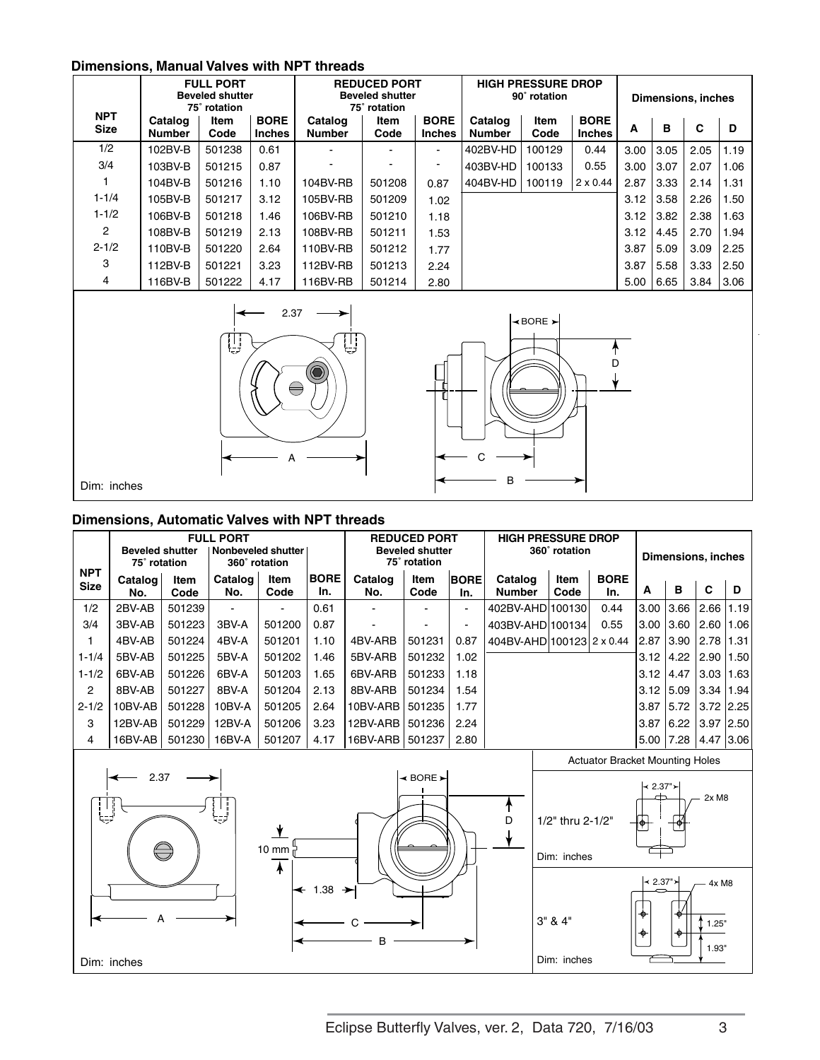# **Dimensions, Manual Valves with NPT threads**

|                           |                          | <b>FULL PORT</b><br><b>Beveled shutter</b><br>75° rotation |                              |                          | <b>REDUCED PORT</b><br><b>Beveled shutter</b><br>75° rotation |                              | <b>HIGH PRESSURE DROP</b><br>90° rotation |                                       | <b>Dimensions, inches</b>    |      |      |      |      |
|---------------------------|--------------------------|------------------------------------------------------------|------------------------------|--------------------------|---------------------------------------------------------------|------------------------------|-------------------------------------------|---------------------------------------|------------------------------|------|------|------|------|
| <b>NPT</b><br><b>Size</b> | Catalog<br><b>Number</b> | Item<br>Code                                               | <b>BORE</b><br><b>Inches</b> | Catalog<br><b>Number</b> | Item<br>Code                                                  | <b>BORE</b><br><b>Inches</b> | Catalog<br><b>Number</b>                  | Item<br>Code                          | <b>BORE</b><br><b>Inches</b> | A    | B    | C    | D    |
| 1/2                       | 102BV-B                  | 501238                                                     | 0.61                         |                          |                                                               | $\sim$                       | 402BV-HD                                  | 100129                                | 0.44                         | 3.00 | 3.05 | 2.05 | 1.19 |
| 3/4                       | 103BV-B                  | 501215                                                     | 0.87                         |                          |                                                               |                              | 403BV-HD                                  | 100133                                | 0.55                         | 3.00 | 3.07 | 2.07 | 1.06 |
| 1                         | 104BV-B                  | 501216                                                     | 1.10                         | 104BV-RB                 | 501208                                                        | 0.87                         | 404BV-HD                                  | 100119                                | $2 \times 0.44$              | 2.87 | 3.33 | 2.14 | 1.31 |
| $1 - 1/4$                 | 105BV-B                  | 501217                                                     | 3.12                         | 105BV-RB                 | 501209                                                        | 1.02                         |                                           |                                       |                              | 3.12 | 3.58 | 2.26 | 1.50 |
| $1 - 1/2$                 | 106BV-B                  | 501218                                                     | 1.46                         | 106BV-RB                 | 501210                                                        | 1.18                         |                                           |                                       |                              | 3.12 | 3.82 | 2.38 | 1.63 |
| $\overline{2}$            | 108BV-B                  | 501219                                                     | 2.13                         | 108BV-RB                 | 501211                                                        | 1.53                         |                                           |                                       |                              | 3.12 | 4.45 | 2.70 | 1.94 |
| $2 - 1/2$                 | 110BV-B                  | 501220                                                     | 2.64                         | 110BV-RB                 | 501212                                                        | 1.77                         |                                           |                                       |                              | 3.87 | 5.09 | 3.09 | 2.25 |
| 3                         | 112BV-B                  | 501221                                                     | 3.23                         | 112BV-RB                 | 501213                                                        | 2.24                         |                                           |                                       |                              | 3.87 | 5.58 | 3.33 | 2.50 |
| 4                         | 116BV-B                  | 501222                                                     | 4.17                         | 116BV-RB                 | 501214                                                        | 2.80                         |                                           |                                       |                              | 5.00 | 6.65 | 3.84 | 3.06 |
|                           |                          | Ų                                                          | 2.37                         | Ų<br>$\ominus$           |                                                               |                              |                                           | $\triangleleft$ BORE $\triangleright$ |                              |      |      |      |      |

A <del>c</del>

B

Dim: inches

# **Dimensions, Automatic Valves with NPT threads**

|                           | <b>Beveled shutter</b><br>75° rotation |              | <b>FULL PORT</b><br>  Nonbeveled shutter | 360° rotation       |                                 |                | <b>REDUCED PORT</b><br><b>Beveled shutter</b><br>75° rotation |                    | <b>HIGH PRESSURE DROP</b> | 360° rotation                   |                                        |                    | <b>Dimensions, inches</b> |                         |      |
|---------------------------|----------------------------------------|--------------|------------------------------------------|---------------------|---------------------------------|----------------|---------------------------------------------------------------|--------------------|---------------------------|---------------------------------|----------------------------------------|--------------------|---------------------------|-------------------------|------|
| <b>NPT</b><br><b>Size</b> | Catalog<br>No.                         | Item<br>Code | Catalog<br>No.                           | Item<br>Code        | <b>BORE</b><br>In.              | Catalog<br>No. | Item<br>Code                                                  | <b>BORE</b><br>In. | Catalog<br><b>Number</b>  | Item<br>Code                    | <b>BORE</b><br>In.                     | A                  | B                         | C                       | D    |
| 1/2                       | 2BV-AB                                 | 501239       | $\sim$                                   |                     | 0.61                            |                |                                                               | $\mathbf{r}$       | 402BV-AHD 100130          |                                 | 0.44                                   | 3.00               | 3.66                      | 2.66                    | 1.19 |
| 3/4                       | 3BV-AB                                 | 501223       | 3BV-A                                    | 501200              | 0.87                            |                |                                                               |                    | 403BV-AHD 100134          |                                 | 0.55                                   | 3.00               | 3.60                      | 2.60                    | 1.06 |
| 1                         | 4BV-AB                                 | 501224       | 4BV-A                                    | 501201              | 1.10                            | 4BV-ARB        | 501231                                                        | 0.87               | 404BV-AHD 100123 2 x 0.44 |                                 |                                        | 12.87              | 3.90                      | $2.78$   1.31           |      |
| $1 - 1/4$                 | 5BV-AB                                 | 501225       | 5BV-A                                    | 501202              | 1.46                            | 5BV-ARB        | 501232                                                        | 1.02               |                           |                                 |                                        | 3.12               | 4.22                      | 2.90                    | 1.50 |
| $1 - 1/2$                 | 6BV-AB                                 | 501226       | 6BV-A                                    | 501203              | 1.65                            | 6BV-ARB        | 501233                                                        | 1.18               |                           |                                 |                                        | 3.12               | 4.47                      | $3.03$   1.63           |      |
| $\overline{c}$            | 8BV-AB                                 | 501227       | 8BV-A                                    | 501204              | 2.13                            | 8BV-ARB        | 501234                                                        | 1.54               |                           |                                 |                                        | 3.12               | 5.09                      | 3.34                    | 1.94 |
| $2 - 1/2$                 | 10BV-AB                                | 501228       | 10BV-A                                   | 501205              | 2.64                            | 10BV-ARB       | 501235                                                        | 1.77               |                           |                                 |                                        | 3.87               | 5.72                      | $3.72$ 2.25             |      |
| 3                         | 12BV-AB                                | 501229       | 12BV-A                                   | 501206              | 3.23                            | 12BV-ARB       | 501236                                                        | 2.24               |                           |                                 |                                        | 3.87               | 6.22                      | $3.97$ 2.50             |      |
| 4                         | 16BV-AB                                | 501230       | 16BV-A                                   | 501207              | 4.17                            | 16BV-ARB       | 501237                                                        | 2.80               |                           |                                 |                                        | 5.00               | 7.28                      | 4.47 3.06               |      |
|                           |                                        |              |                                          |                     |                                 |                |                                                               |                    |                           |                                 | <b>Actuator Bracket Mounting Holes</b> |                    |                           |                         |      |
|                           | 2.37                                   |              |                                          | 10 mm $\frac{1}{l}$ |                                 |                | $\triangleleft$ BORE $\succ$                                  |                    | D                         | 1/2" thru 2-1/2"<br>Dim: inches |                                        | - 2.37"≻<br>ΙΦ     |                           | 2xM8                    |      |
|                           | Dim: inches                            |              |                                          | $\ast$              | $\leftarrow$ 1.38 $\rightarrow$ | B              |                                                               |                    |                           | 3" 8 4"<br>Dim: inches          |                                        | k 2.37"≻<br>♣<br>⊕ | +                         | 4x M8<br>1.25"<br>1.93" |      |

Eclipse Butterfly Valves, ver. 2, Data 720, 7/16/03 3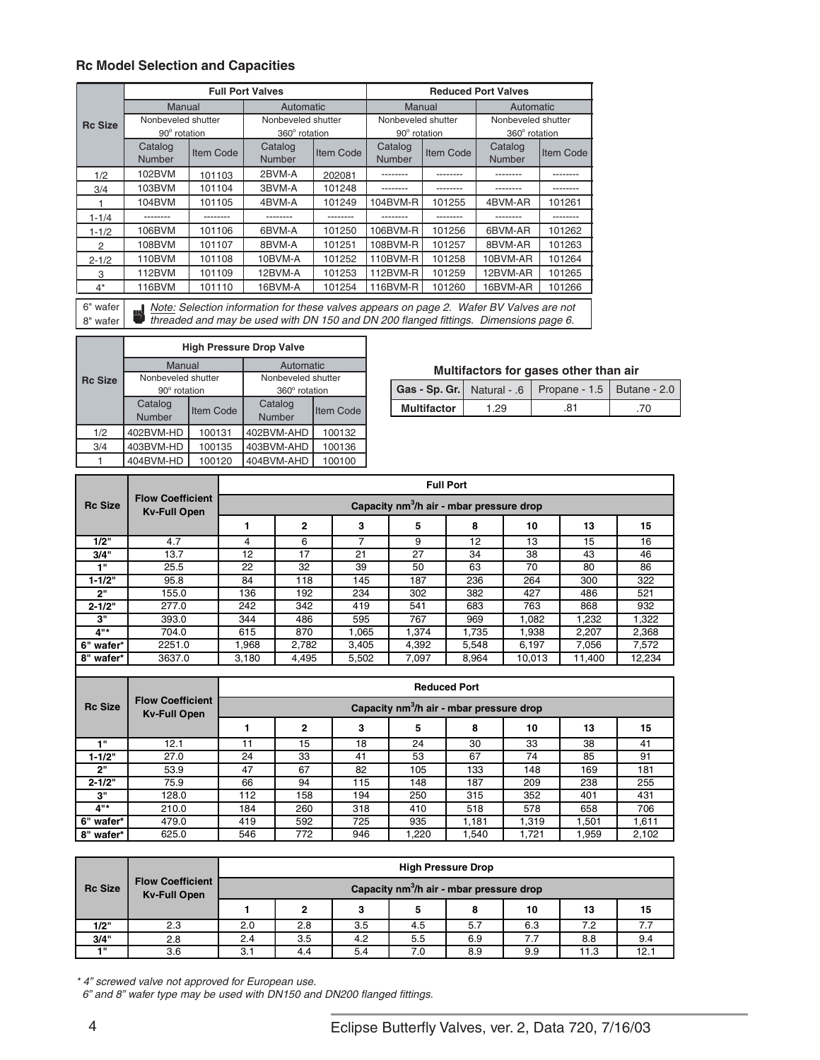# **Rc Model Selection and Capacities**

|                      |                                                                                                                                                                                 |           | <b>Full Port Valves</b>             |                  |                                    |           | <b>Reduced Port Valves</b>          |                  |  |
|----------------------|---------------------------------------------------------------------------------------------------------------------------------------------------------------------------------|-----------|-------------------------------------|------------------|------------------------------------|-----------|-------------------------------------|------------------|--|
|                      | Manual                                                                                                                                                                          |           | Automatic                           |                  | Manual                             |           | Automatic                           |                  |  |
| <b>Rc Size</b>       | Nonbeveled shutter<br>90° rotation                                                                                                                                              |           | Nonbeveled shutter<br>360° rotation |                  | Nonbeveled shutter<br>90° rotation |           | Nonbeveled shutter<br>360° rotation |                  |  |
|                      | Catalog<br>Number                                                                                                                                                               | Item Code | Catalog<br><b>Number</b>            | <b>Item Code</b> | Catalog<br>Number                  | Item Code | Catalog<br><b>Number</b>            | <b>Item Code</b> |  |
| 1/2                  | 102BVM                                                                                                                                                                          | 101103    | 2BVM-A                              | 202081           |                                    |           |                                     |                  |  |
| 3/4                  | 103BVM                                                                                                                                                                          | 101104    | 3BVM-A                              | 101248           | --------                           | --------  |                                     |                  |  |
|                      | 104BVM                                                                                                                                                                          | 101105    | 4BVM-A                              | 101249           | 104BVM-R                           | 101255    | 4BVM-AR                             | 101261           |  |
| $1 - 1/4$            | --------                                                                                                                                                                        | --------  | --------                            | --------         | --------                           | --------  | --------                            | --------         |  |
| $1 - 1/2$            | 106BVM                                                                                                                                                                          | 101106    | 6BVM-A                              | 101250           | 106BVM-R                           | 101256    | 6BVM-AR                             | 101262           |  |
| 2                    | 108BVM                                                                                                                                                                          | 101107    | 8BVM-A                              | 101251           | 108BVM-R                           | 101257    | 8BVM-AR                             | 101263           |  |
| $2 - 1/2$            | 110BVM                                                                                                                                                                          | 101108    | 10BVM-A                             | 101252           | 110BVM-R                           | 101258    | 10BVM-AR                            | 101264           |  |
| 3                    | 112BVM                                                                                                                                                                          | 101109    | 12BVM-A                             | 101253           | 112BVM-R                           | 101259    | 12BVM-AR                            | 101265           |  |
| 4*                   | 116BVM                                                                                                                                                                          | 101110    | 16BVM-A                             | 101254           | 116BVM-R                           | 101260    | 16BVM-AR                            | 101266           |  |
| 6" wafer<br>8" wafer | Note: Selection information for these valves appears on page 2. Wafer BV Valves are not<br>threaded and may be used with DN 150 and DN 200 flanged fittings. Dimensions page 6. |           |                                     |                  |                                    |           |                                     |                  |  |

|                | <b>High Pressure Drop Valve</b> |                                          |               |                  |  |  |  |  |  |
|----------------|---------------------------------|------------------------------------------|---------------|------------------|--|--|--|--|--|
|                | Manual                          |                                          | Automatic     |                  |  |  |  |  |  |
| <b>Rc Size</b> |                                 | Nonbeveled shutter<br>Nonbeveled shutter |               |                  |  |  |  |  |  |
|                | 90° rotation                    |                                          | 360° rotation |                  |  |  |  |  |  |
|                | Catalog                         | Item Code                                | Catalog       | <b>Item Code</b> |  |  |  |  |  |
|                | Number                          |                                          | Number        |                  |  |  |  |  |  |
| 1/2            | 402BVM-HD                       | 100131                                   |               | 100132           |  |  |  |  |  |
| 3/4            | 403BVM-HD                       | 100135                                   | 403BVM-AHD    | 100136           |  |  |  |  |  |
|                | 404BVM-HD                       | 100120                                   | 404BVM-AHD    | 100100           |  |  |  |  |  |

|                    |     | Gas - Sp. Gr.   Natural - .6   Propane - 1.5   Butane - 2.0 |  |
|--------------------|-----|-------------------------------------------------------------|--|
| <b>Multifactor</b> | -29 |                                                             |  |

|                |                                                |                   |       |       |       | <b>Full Port</b>                                     |        |        |        |
|----------------|------------------------------------------------|-------------------|-------|-------|-------|------------------------------------------------------|--------|--------|--------|
| <b>Rc Size</b> | <b>Flow Coefficient</b><br><b>Kv-Full Open</b> |                   |       |       |       | Capacity nm <sup>3</sup> /h air - mbar pressure drop |        |        |        |
|                |                                                |                   | 2     | 3     | 5     | 8                                                    | 10     | 13     | 15     |
| 1/2"           | 4.7                                            | 4                 | 6     | 7     | 9     | 12                                                   | 13     | 15     | 16     |
| 3/4"           | 13.7                                           | $12 \overline{ }$ | 17    | 21    | 27    | 34                                                   | 38     | 43     | 46     |
| 48             | 25.5                                           | 22                | 32    | 39    | 50    | 63                                                   | 70     | 80     | 86     |
| $1 - 1/2"$     | 95.8                                           | 84                | 118   | 145   | 187   | 236                                                  | 264    | 300    | 322    |
| 2"             | 155.0                                          | 136               | 192   | 234   | 302   | 382                                                  | 427    | 486    | 521    |
| $2 - 1/2"$     | 277.0                                          | 242               | 342   | 419   | 541   | 683                                                  | 763    | 868    | 932    |
| з"             | 393.0                                          | 344               | 486   | 595   | 767   | 969                                                  | 1.082  | 1,232  | 1,322  |
| $4"$ *         | 704.0                                          | 615               | 870   | 1.065 | 1.374 | 1.735                                                | 1.938  | 2.207  | 2,368  |
| 6" wafer*      | 2251.0                                         | .968              | 2.782 | 3.405 | 4,392 | 5,548                                                | 6,197  | 7,056  | 7,572  |
| 8" wafer*      | 3637.0                                         | 3.180             | 4.495 | 5.502 | 7.097 | 8.964                                                | 10.013 | 11.400 | 12.234 |

|                |                                                |     |                                                      |     |      | <b>Reduced Port</b> |       |       |       |  |  |  |  |
|----------------|------------------------------------------------|-----|------------------------------------------------------|-----|------|---------------------|-------|-------|-------|--|--|--|--|
| <b>Rc Size</b> | <b>Flow Coefficient</b><br><b>Kv-Full Open</b> |     | Capacity nm <sup>3</sup> /h air - mbar pressure drop |     |      |                     |       |       |       |  |  |  |  |
|                |                                                |     | $\mathbf{2}$                                         | 3   | 5    | 8                   | 10    | 13    | 15    |  |  |  |  |
| 4.81           | 12.1                                           |     | 15                                                   | 18  | 24   | 30                  | 33    | 38    | 41    |  |  |  |  |
| $1 - 1/2"$     | 27.0                                           | 24  | 33                                                   | 41  | 53   | 67                  | 74    | 85    | 91    |  |  |  |  |
| "פ             | 53.9                                           | 47  | 67                                                   | 82  | 105  | 133                 | 148   | 169   | 181   |  |  |  |  |
| $2 - 1/2"$     | 75.9                                           | 66  | 94                                                   | 115 | 148  | 187                 | 209   | 238   | 255   |  |  |  |  |
| з"             | 128.0                                          | 112 | 158                                                  | 194 | 250  | 315                 | 352   | 401   | 431   |  |  |  |  |
| 4"*            | 210.0                                          | 184 | 260                                                  | 318 | 410  | 518                 | 578   | 658   | 706   |  |  |  |  |
| 6" wafer*      | 479.0                                          | 419 | 592                                                  | 725 | 935  | 1,181               | 1.319 | 1,501 | 1,611 |  |  |  |  |
| 8" wafer*      | 625.0                                          | 546 | 772                                                  | 946 | .220 | 1,540               | 1.721 | 1,959 | 2,102 |  |  |  |  |

|                |                                                |     | <b>High Pressure Drop</b>                            |     |     |     |     |      |      |  |  |  |  |
|----------------|------------------------------------------------|-----|------------------------------------------------------|-----|-----|-----|-----|------|------|--|--|--|--|
| <b>Rc Size</b> | <b>Flow Coefficient</b><br><b>Kv-Full Open</b> |     | Capacity nm <sup>3</sup> /h air - mbar pressure drop |     |     |     |     |      |      |  |  |  |  |
|                |                                                |     | 2                                                    | 3   | 5   | 8   | 10  | 13   | 15   |  |  |  |  |
| 1/2"           | 2.3                                            | 2.0 | 2.8                                                  | 3.5 | 4.5 | 5.7 | 6.3 | 7.2  |      |  |  |  |  |
| 3/4"           | 2.8                                            | 2.4 | 3.5                                                  | 4.2 | 5.5 | 6.9 | 7.7 | 8.8  | 9.4  |  |  |  |  |
| -4.11          | 3.6                                            | 3.1 | 4.4                                                  | 5.4 | 7.0 | 8.9 | 9.9 | 11.3 | 12.7 |  |  |  |  |

\* 4" screwed valve not approved for European use.

6" and 8" wafer type may be used with DN150 and DN200 flanged fittings.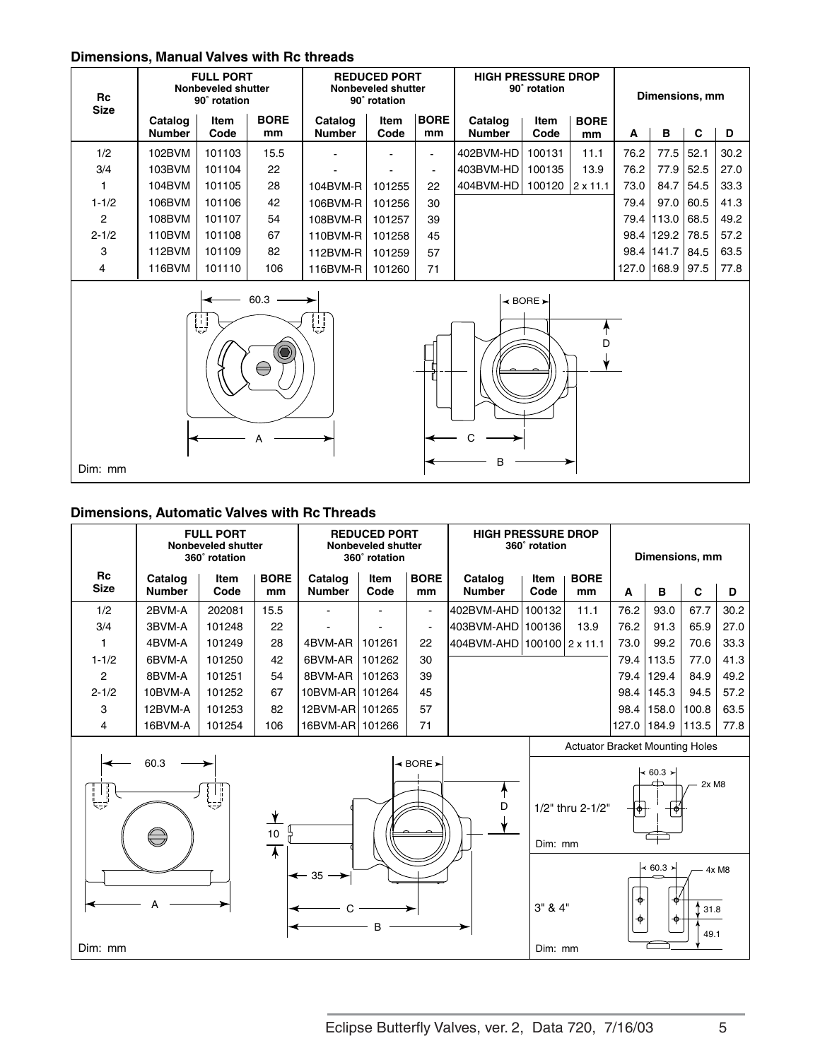# **Dimensions, Manual Valves with Rc threads**

| Rc<br><b>Size</b> |                          | <b>FULL PORT</b><br>Nonbeveled shutter<br>90° rotation                                                          |                   |                          | <b>REDUCED PORT</b><br>Nonbeveled shutter<br>90° rotation |                   |                          | <b>HIGH PRESSURE DROP</b><br>90° rotation |                   |      | Dimensions, mm |      |      |
|-------------------|--------------------------|-----------------------------------------------------------------------------------------------------------------|-------------------|--------------------------|-----------------------------------------------------------|-------------------|--------------------------|-------------------------------------------|-------------------|------|----------------|------|------|
|                   | Catalog<br><b>Number</b> | Item<br>Code                                                                                                    | <b>BORE</b><br>mm | Catalog<br><b>Number</b> | Item<br>Code                                              | <b>BORE</b><br>mm | Catalog<br><b>Number</b> | Item<br>Code                              | <b>BORE</b><br>mm | A    | в              | C    | D    |
| 1/2               | 102BVM                   | 101103                                                                                                          | 15.5              |                          |                                                           | ÷.                | 402BVM-HD                | 100131                                    | 11.1              | 76.2 | 77.5           | 52.1 | 30.2 |
| 3/4               | 103BVM                   | 101104                                                                                                          | 22                |                          |                                                           | ٠                 | 403BVM-HD                | 100135                                    | 13.9              | 76.2 | 77.9           | 52.5 | 27.0 |
|                   | 104BVM                   | 101105                                                                                                          | 28                | 104BVM-R                 | 101255                                                    | 22                | 404BVM-HD                | 100120                                    | $2 \times 11.1$   | 73.0 | 84.7           | 54.5 | 33.3 |
| $1 - 1/2$         | 106BVM                   | 101106                                                                                                          | 42                | 106BVM-R                 | 101256                                                    | 30                |                          |                                           |                   | 79.4 | 97.0           | 60.5 | 41.3 |
| $\overline{2}$    | 108BVM                   | 101107                                                                                                          | 54                | 108BVM-R                 | 101257                                                    | 39                |                          |                                           |                   |      | 79.4 113.0     | 68.5 | 49.2 |
| $2 - 1/2$         | 110BVM                   | 101108                                                                                                          | 67                | 110BVM-R                 | 101258                                                    | 45                |                          |                                           |                   |      | 98.4 129.2     | 78.5 | 57.2 |
| 3                 | 112BVM                   | 101109                                                                                                          | 82                | 112BVM-R                 | 101259                                                    | 57                |                          |                                           |                   |      | 98.4 141.7     | 84.5 | 63.5 |
| 4                 | 116BVM                   | 101110                                                                                                          | 106               | 116BVM-R                 | 101260                                                    | 71                |                          |                                           |                   |      | 127.0   168.9  | 97.5 | 77.8 |
|                   |                          | the contract of the contract of the contract of the contract of the contract of the contract of the contract of |                   |                          |                                                           |                   |                          |                                           |                   |      |                |      |      |





#### **Dimensions, Automatic Valves with Rc Threads**

|                   |                          | <b>FULL PORT</b><br>Nonbeveled shutter<br>360° rotation |                   | <b>REDUCED PORT</b><br>Nonbeveled shutter<br>360° rotation |              |                          | <b>HIGH PRESSURE DROP</b><br>360° rotation |              |                   | Dimensions, mm |                |       |      |
|-------------------|--------------------------|---------------------------------------------------------|-------------------|------------------------------------------------------------|--------------|--------------------------|--------------------------------------------|--------------|-------------------|----------------|----------------|-------|------|
| Rc<br><b>Size</b> | Catalog<br><b>Number</b> | Item<br>Code                                            | <b>BORE</b><br>mm | Catalog<br><b>Number</b>                                   | Item<br>Code | <b>BORE</b><br>mm        | Catalog<br><b>Number</b>                   | Item<br>Code | <b>BORE</b><br>mm | A              | в              | C     | D    |
| 1/2               | 2BVM-A                   | 202081                                                  | 15.5              | $\sim$                                                     |              | $\blacksquare$           | 1402BVM-AHD I                              | 100132       | 11.1              | 76.2           | 93.0           | 67.7  | 30.2 |
| 3/4               | 3BVM-A                   | 101248                                                  | 22                | $\overline{\phantom{0}}$                                   |              | $\overline{\phantom{a}}$ | 1403BVM-AHD I                              | 100136       | 13.9              | 76.2           | 91.3           | 65.9  | 27.0 |
| 1                 | 4BVM-A                   | 101249                                                  | 28                | 4BVM-AR                                                    | 101261       | 22                       | 404BVM-AHD 100100 2 x 11.1                 |              |                   | 73.0           | 99.2           | 70.6  | 33.3 |
| $1 - 1/2$         | 6BVM-A                   | 101250                                                  | 42                | 6BVM-AR                                                    | 101262       | 30                       |                                            |              |                   | 79.4           | 113.5          | 77.0  | 41.3 |
| 2                 | 8BVM-A                   | 101251                                                  | 54                | 8BVM-AR                                                    | 101263       | 39                       |                                            |              |                   |                | 79.4 129.4     | 84.9  | 49.2 |
| $2 - 1/2$         | 10BVM-A                  | 101252                                                  | 67                | 10BVM-AR 101264                                            |              | 45                       |                                            |              |                   |                | $98.4$   145.3 | 94.5  | 57.2 |
| 3                 | 12BVM-A                  | 101253                                                  | 82                | 12BVM-AR   101265                                          |              | 57                       |                                            |              |                   | 98.4           | 158.0          | 100.8 | 63.5 |
| 4                 | 16BVM-A                  | 101254                                                  | 106               | 16BVM-AR 101266                                            |              | 71                       |                                            |              |                   | 127.0          | 184.9          | 113.5 | 77.8 |

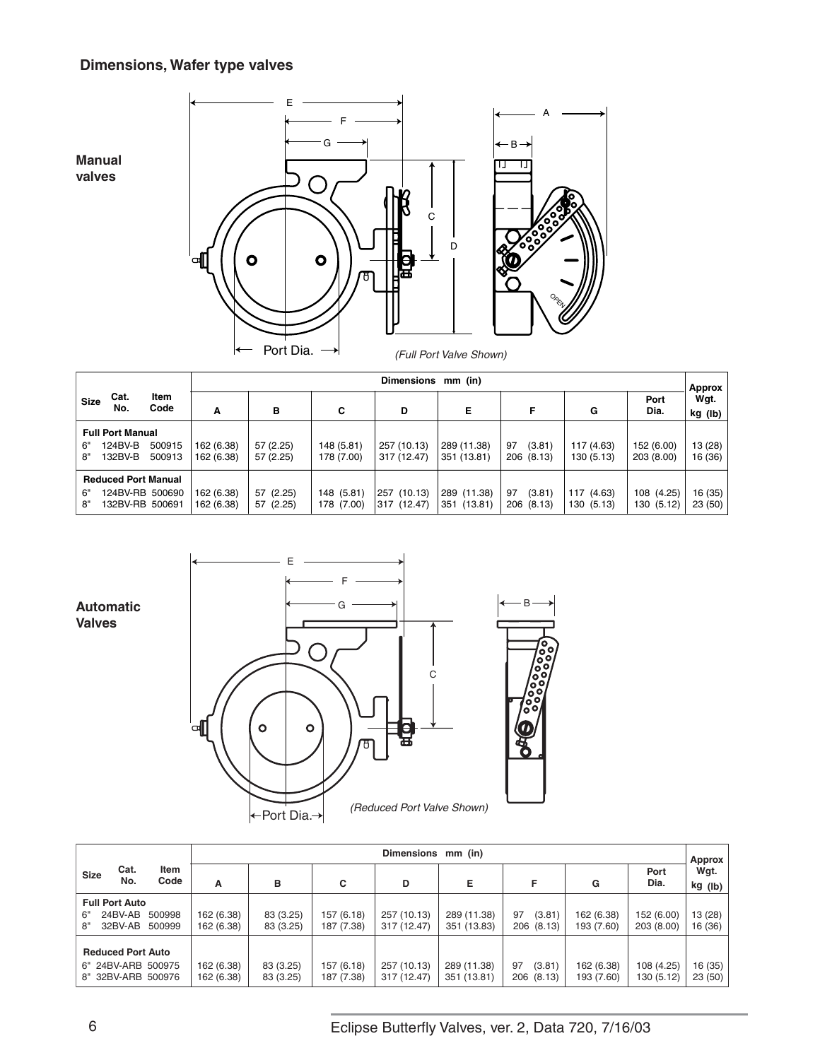# **Dimensions, Wafer type valves**

**Manual valves**





|             |                            |              |            | <b>Dimensions</b><br>mm (in)<br>Approx |            |             |             |              |            |              |                 |  |
|-------------|----------------------------|--------------|------------|----------------------------------------|------------|-------------|-------------|--------------|------------|--------------|-----------------|--|
| <b>Size</b> | Cat.<br>No.                | Item<br>Code | Α          | в                                      | C          | D           | Е           | F            | G          | Port<br>Dia. | Wqt.<br>kg (lb) |  |
|             | <b>Full Port Manual</b>    |              |            |                                        |            |             |             |              |            |              |                 |  |
| 6"          | 124BV-B                    | 500915       | 162 (6.38) | 57 (2.25)                              | 148 (5.81) | 257 (10.13) | 289 (11.38) | (3.81)<br>97 | 117 (4.63) | 152 (6.00)   | 13 (28)         |  |
| 8"          | 132BV-B                    | 500913       | 162 (6.38) | 57 (2.25)                              | 178 (7.00) | 317 (12.47) | 351 (13.81) | 206 (8.13)   | 130 (5.13) | 203 (8.00)   | 16 (36)         |  |
|             | <b>Reduced Port Manual</b> |              |            |                                        |            |             |             |              |            |              |                 |  |
| 6"          | 124BV-RB 500690            |              | 162 (6.38) | 57 (2.25)                              | 148 (5.81) | 257 (10.13) | 289 (11.38) | (3.81)<br>97 | 117 (4.63) | 108 (4.25)   | 16 (35)         |  |
| 8"          | 132BV-RB 500691            |              | 162 (6.38) | 57 (2.25)                              | 178 (7.00) | 317 (12.47) | 351 (13.81) | 206 (8.13)   | 130 (5.13) | 130 (5.12)   | 23(50)          |  |



|             |                          |              |            | Dimensions mm (in)<br>Approx |            |             |             |              |            |              |                 |  |
|-------------|--------------------------|--------------|------------|------------------------------|------------|-------------|-------------|--------------|------------|--------------|-----------------|--|
| <b>Size</b> | Cat.<br>No.              | Item<br>Code | Α          | в                            | С          | D           | Е           | F            | G          | Port<br>Dia. | Wqt.<br>kg (lb) |  |
|             | <b>Full Port Auto</b>    |              |            |                              |            |             |             |              |            |              |                 |  |
| 6"          | 24BV-AB                  | 500998       | 162 (6.38) | 83 (3.25)                    | 157 (6.18) | 257 (10.13) | 289 (11.38) | (3.81)<br>97 | 162 (6.38) | 152 (6.00)   | 13 (28)         |  |
| 8"          | 32BV-AB                  | 500999       | 162 (6.38) | 83 (3.25)                    | 187 (7.38) | 317 (12.47) | 351 (13.83) | 206 (8.13)   | 193 (7.60) | 203 (8.00)   | 16 (36)         |  |
|             | <b>Reduced Port Auto</b> |              |            |                              |            |             |             |              |            |              |                 |  |
|             | 6" 24BV-ARB 500975       |              | 162 (6.38) | 83 (3.25)                    | 157 (6.18) | 257 (10.13) | 289 (11.38) | (3.81)<br>97 | 162 (6.38) | 108 (4.25)   | 16(35)          |  |
|             | 8" 32BV-ARB 500976       |              | 162 (6.38) | 83 (3.25)                    | 187 (7.38) | 317 (12.47) | 351 (13.81) | 206 (8.13)   | 193 (7.60) | 130 (5.12)   | 23(50)          |  |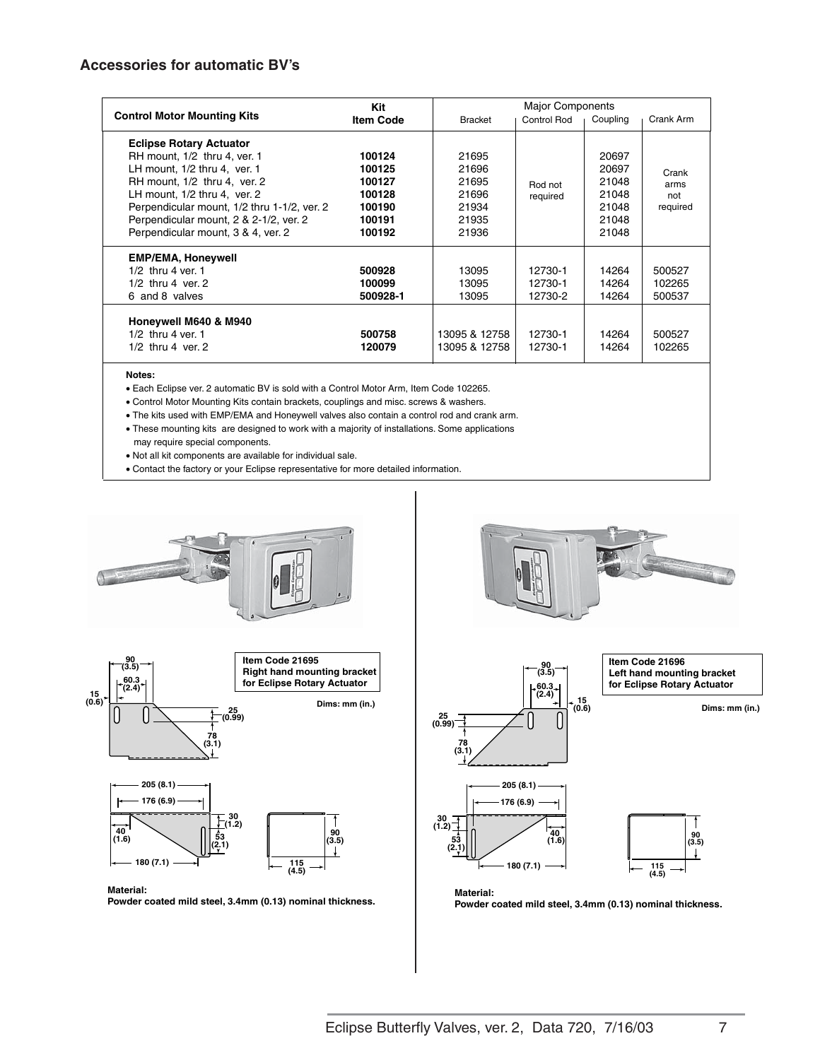#### **Accessories for automatic BV's**

|                                             | Kit              |               | <b>Major Components</b> |          |           |
|---------------------------------------------|------------------|---------------|-------------------------|----------|-----------|
| <b>Control Motor Mounting Kits</b>          | <b>Item Code</b> | Bracket       | <b>Control Rod</b>      | Coupling | Crank Arm |
| <b>Eclipse Rotary Actuator</b>              |                  |               |                         |          |           |
| RH mount, 1/2 thru 4, ver. 1                | 100124           | 21695         |                         | 20697    |           |
| LH mount, 1/2 thru 4, ver. 1                | 100125           | 21696         |                         | 20697    | Crank     |
| RH mount, 1/2 thru 4, ver. 2                | 100127           | 21695         | Rod not                 | 21048    | arms      |
| LH mount, 1/2 thru 4, ver. 2                | 100128           | 21696         | required                | 21048    | not       |
| Perpendicular mount, 1/2 thru 1-1/2, ver. 2 | 100190           | 21934         |                         | 21048    | required  |
| Perpendicular mount, 2 & 2-1/2, ver. 2      | 100191           | 21935         |                         | 21048    |           |
| Perpendicular mount, 3 & 4, ver. 2          | 100192           | 21936         |                         | 21048    |           |
| <b>EMP/EMA, Honeywell</b>                   |                  |               |                         |          |           |
| $1/2$ thru 4 ver. 1                         | 500928           | 13095         | 12730-1                 | 14264    | 500527    |
| $1/2$ thru 4 ver, 2                         | 100099           | 13095         | 12730-1                 | 14264    | 102265    |
| 6 and 8 valves                              | 500928-1         | 13095         | 12730-2                 | 14264    | 500537    |
| Honeywell M640 & M940                       |                  |               |                         |          |           |
| $1/2$ thru 4 ver. 1                         | 500758           | 13095 & 12758 | 12730-1                 | 14264    | 500527    |
| $1/2$ thru 4 ver, 2                         | 120079           | 13095 & 12758 | 12730-1                 | 14264    | 102265    |
|                                             |                  |               |                         |          |           |

**Notes:** 

• Each Eclipse ver. 2 automatic BV is sold with a Control Motor Arm, Item Code 102265.

• Control Motor Mounting Kits contain brackets, couplings and misc. screws & washers.

• The kits used with EMP/EMA and Honeywell valves also contain a control rod and crank arm.

• These mounting kits are designed to work with a majority of installations. Some applications

may require special components.

• Not all kit components are available for individual sale.

• Contact the factory or your Eclipse representative for more detailed information.







**Powder coated mild steel, 3.4mm (0.13) nominal thickness.**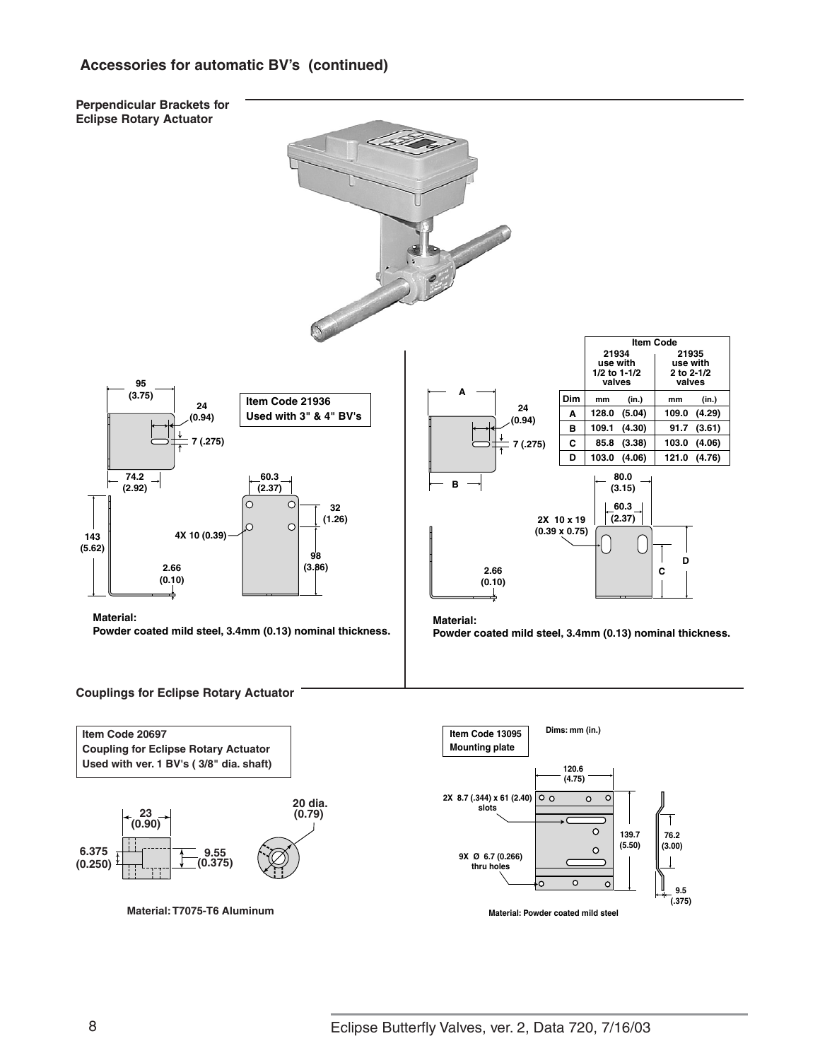# **Accessories for automatic BV's (continued)**

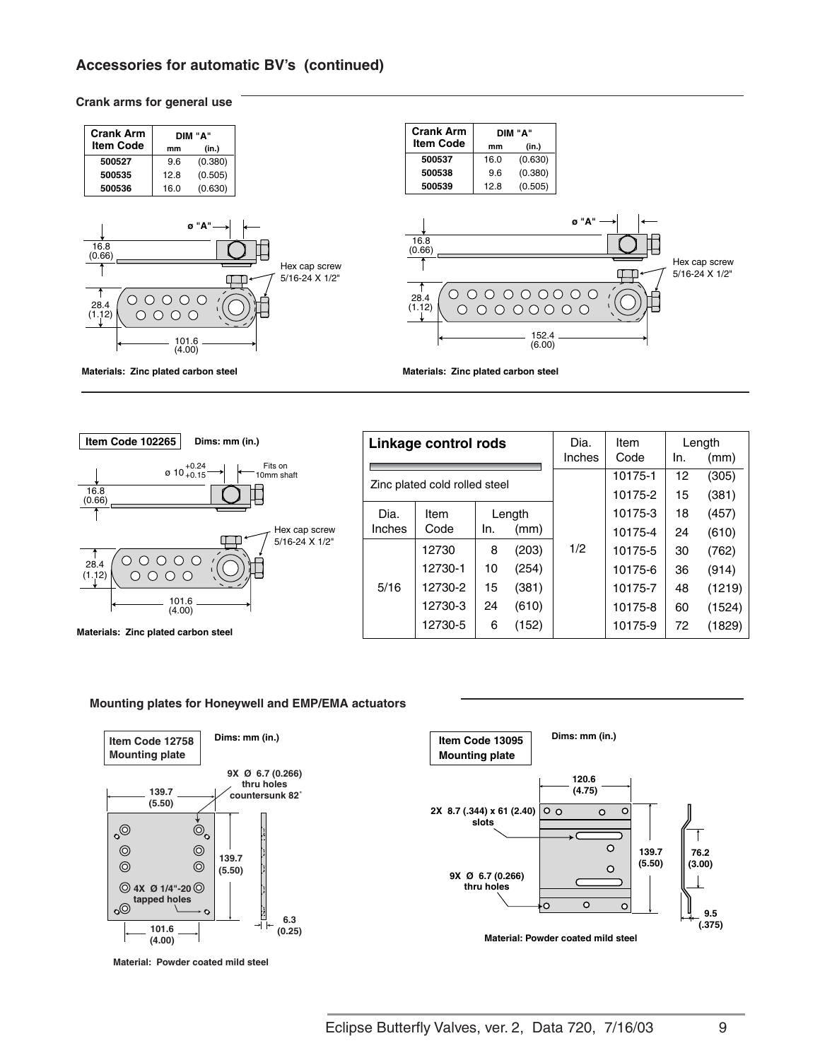# **Accessories for automatic BV's (continued)**

#### **Crank arms for general use**





| Materials: Zinc plated carbon steel |  |  |
|-------------------------------------|--|--|
|                                     |  |  |

|                        | Linkage control rods          |     |       | Dia.   | Item    |     | Length |
|------------------------|-------------------------------|-----|-------|--------|---------|-----|--------|
|                        |                               |     |       | Inches | Code    | In. | (mm)   |
|                        | Zinc plated cold rolled steel |     |       |        | 10175-1 | 12  | (305)  |
|                        |                               |     |       |        | 10175-2 | 15  | (381)  |
| Dia.<br>Length<br>Item |                               |     |       |        | 10175-3 | 18  | (457)  |
| Inches                 | Code                          | In. | (mm)  |        | 10175-4 | 24  | (610)  |
|                        | 12730                         | 8   | (203) | 1/2    | 10175-5 | 30  | (762)  |
|                        | 12730-1                       | 10  | (254) |        | 10175-6 | 36  | (914)  |
| 5/16                   | 12730-2                       | 15  | (381) |        | 10175-7 | 48  | (1219) |
|                        | 12730-3                       | 24  | (610) |        | 10175-8 | 60  | (1524) |
|                        | 12730-5                       | 6   | (152) |        | 10175-9 | 72  | (1829) |

#### **Mounting plates for Honeywell and EMP/EMA actuators**



**Material: Powder coated mild steel**

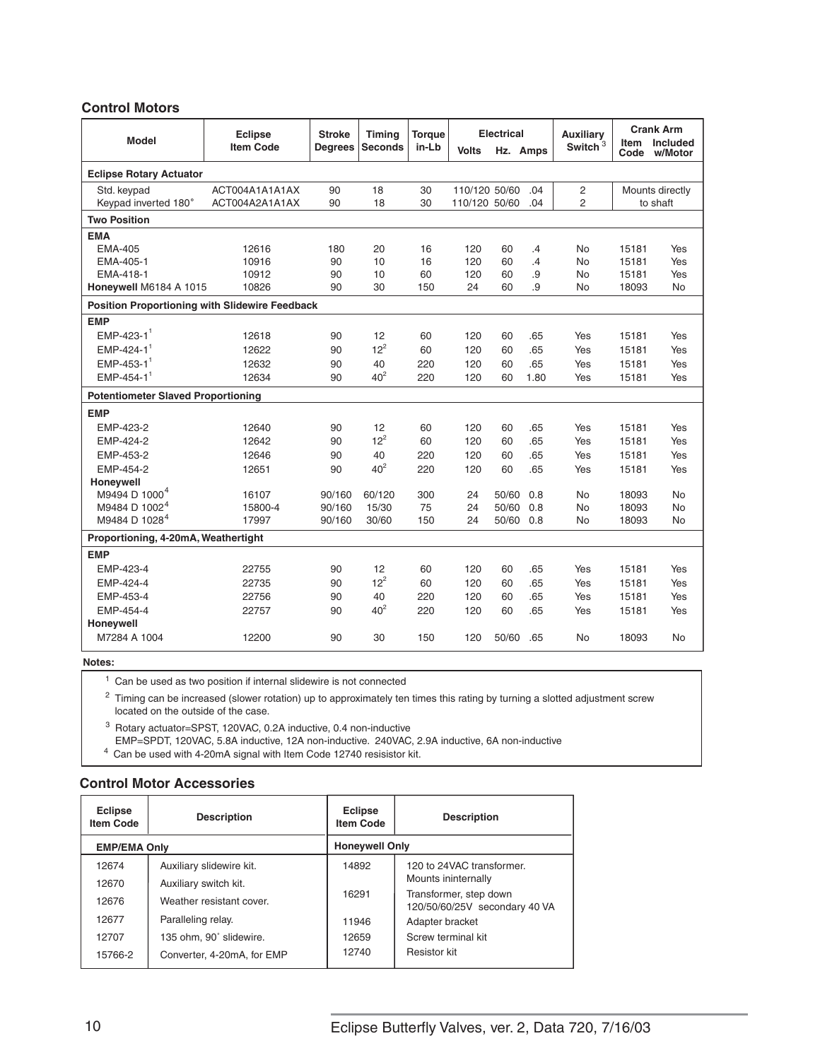#### **Control Motors**

| <b>Model</b>                                          | <b>Eclipse</b><br><b>Item Code</b> | <b>Stroke</b><br><b>Degrees</b> | Timina<br><b>Seconds</b> | <b>Torque</b><br>in-Lb | <b>Volts</b>                   | <b>Electrical</b><br>Hz. Amps |            | <b>Auxiliary</b><br>Switch <sup>3</sup> | Code  | <b>Crank Arm</b><br>Item Included<br>w/Motor |
|-------------------------------------------------------|------------------------------------|---------------------------------|--------------------------|------------------------|--------------------------------|-------------------------------|------------|-----------------------------------------|-------|----------------------------------------------|
| <b>Eclipse Rotary Actuator</b>                        |                                    |                                 |                          |                        |                                |                               |            |                                         |       |                                              |
| Std. keypad<br>Keypad inverted 180°                   | ACT004A1A1A1AX<br>ACT004A2A1A1AX   | 90<br>90                        | 18<br>18                 | 30<br>30               | 110/120 50/60<br>110/120 50/60 |                               | .04<br>.04 | 2<br>$\overline{2}$                     |       | Mounts directly<br>to shaft                  |
| <b>Two Position</b>                                   |                                    |                                 |                          |                        |                                |                               |            |                                         |       |                                              |
| <b>EMA</b>                                            |                                    |                                 |                          |                        |                                |                               |            |                                         |       |                                              |
| <b>EMA-405</b>                                        | 12616                              | 180                             | 20                       | 16                     | 120                            | 60                            | .4         | No                                      | 15181 | Yes                                          |
| EMA-405-1                                             | 10916                              | 90                              | 10                       | 16                     | 120                            | 60                            | .4         | No                                      | 15181 | Yes                                          |
| EMA-418-1                                             | 10912                              | 90                              | 10                       | 60                     | 120                            | 60                            | .9         | No                                      | 15181 | Yes                                          |
| Honeywell M6184 A 1015                                | 10826                              | 90                              | 30                       | 150                    | 24                             | 60                            | .9         | No                                      | 18093 | No                                           |
| <b>Position Proportioning with Slidewire Feedback</b> |                                    |                                 |                          |                        |                                |                               |            |                                         |       |                                              |
| <b>EMP</b>                                            |                                    |                                 |                          |                        |                                |                               |            |                                         |       |                                              |
| $EMP-423-1$                                           | 12618                              | 90                              | 12                       | 60                     | 120                            | 60                            | .65        | Yes                                     | 15181 | Yes                                          |
| $EMP-424-1$ <sup>1</sup>                              | 12622                              | 90                              | $12^2$                   | 60                     | 120                            | 60                            | .65        | Yes                                     | 15181 | Yes                                          |
| $EMP-453-1$ <sup>1</sup>                              | 12632                              | 90                              | 40                       | 220                    | 120                            | 60                            | .65        | Yes                                     | 15181 | Yes                                          |
| $FMP-454-1$ <sup>1</sup>                              | 12634                              | 90                              | $40^2$                   | 220                    | 120                            | 60                            | 1.80       | Yes                                     | 15181 | Yes                                          |
| <b>Potentiometer Slaved Proportioning</b>             |                                    |                                 |                          |                        |                                |                               |            |                                         |       |                                              |
| <b>EMP</b>                                            |                                    |                                 |                          |                        |                                |                               |            |                                         |       |                                              |
| EMP-423-2                                             | 12640                              | 90                              | 12                       | 60                     | 120                            | 60                            | .65        | Yes                                     | 15181 | Yes                                          |
| EMP-424-2                                             | 12642                              | 90                              | $12^2$                   | 60                     | 120                            | 60                            | .65        | Yes                                     | 15181 | Yes                                          |
| EMP-453-2                                             | 12646                              | 90                              | 40                       | 220                    | 120                            | 60                            | .65        | Yes                                     | 15181 | Yes                                          |
| EMP-454-2                                             | 12651                              | 90                              | $40^2$                   | 220                    | 120                            | 60                            | .65        | Yes                                     | 15181 | Yes                                          |
| Honeywell                                             |                                    |                                 |                          |                        |                                |                               |            |                                         |       |                                              |
| M9494 D 1000 <sup>4</sup>                             | 16107                              | 90/160                          | 60/120                   | 300                    | 24                             | 50/60                         | 0.8        | No                                      | 18093 | No                                           |
| M9484 D 1002 <sup>4</sup>                             | 15800-4                            | 90/160                          | 15/30                    | 75                     | 24                             | 50/60                         | 0.8        | No                                      | 18093 | No                                           |
| M9484 D 1028 <sup>4</sup>                             | 17997                              | 90/160                          | 30/60                    | 150                    | 24                             | 50/60                         | 0.8        | No                                      | 18093 | No                                           |
| Proportioning, 4-20mA, Weathertight                   |                                    |                                 |                          |                        |                                |                               |            |                                         |       |                                              |
| <b>EMP</b>                                            |                                    |                                 |                          |                        |                                |                               |            |                                         |       |                                              |
| EMP-423-4                                             | 22755                              | 90                              | 12                       | 60                     | 120                            | 60                            | .65        | Yes                                     | 15181 | Yes                                          |
| EMP-424-4                                             | 22735                              | 90                              | $12^2$                   | 60                     | 120                            | 60                            | .65        | Yes                                     | 15181 | Yes                                          |
| EMP-453-4                                             | 22756                              | 90                              | 40                       | 220                    | 120                            | 60                            | .65        | Yes                                     | 15181 | Yes                                          |
| EMP-454-4                                             | 22757                              | 90                              | 40 <sup>2</sup>          | 220                    | 120                            | 60                            | .65        | Yes                                     | 15181 | Yes                                          |
| Honeywell                                             |                                    |                                 |                          |                        |                                |                               |            |                                         |       |                                              |
| M7284 A 1004                                          | 12200                              | 90                              | 30                       | 150                    | 120                            | 50/60                         | .65        | No                                      | 18093 | No                                           |

**Notes:**

 $1$  Can be used as two position if internal slidewire is not connected

<sup>2</sup> Timing can be increased (slower rotation) up to approximately ten times this rating by turning a slotted adjustment screw located on the outside of the case.

<sup>3</sup> Rotary actuator=SPST, 120VAC, 0.2A inductive, 0.4 non-inductive EMP=SPDT, 120VAC, 5.8A inductive, 12A non-inductive. 240VAC, 2.9A inductive, 6A non-inductive

4 Can be used with 4-20mA signal with Item Code 12740 resisistor kit.

#### **Control Motor Accessories**

| <b>Eclipse</b><br><b>Item Code</b> | <b>Description</b>         | <b>Eclipse</b><br><b>Item Code</b> | <b>Description</b>                                      |  |  |  |  |
|------------------------------------|----------------------------|------------------------------------|---------------------------------------------------------|--|--|--|--|
| <b>EMP/EMA Only</b>                |                            | <b>Honeywell Only</b>              |                                                         |  |  |  |  |
| 12674                              | Auxiliary slidewire kit.   | 14892                              | 120 to 24VAC transformer.                               |  |  |  |  |
| 12670                              | Auxiliary switch kit.      |                                    | Mounts ininternally                                     |  |  |  |  |
| 12676                              | Weather resistant cover    | 16291                              | Transformer, step down<br>120/50/60/25V secondary 40 VA |  |  |  |  |
| 12677                              | Paralleling relay.         | 11946                              | Adapter bracket                                         |  |  |  |  |
| 12707                              | 135 ohm, 90° slidewire.    | 12659                              | Screw terminal kit                                      |  |  |  |  |
| 15766-2                            | Converter, 4-20mA, for EMP | 12740                              | Resistor kit                                            |  |  |  |  |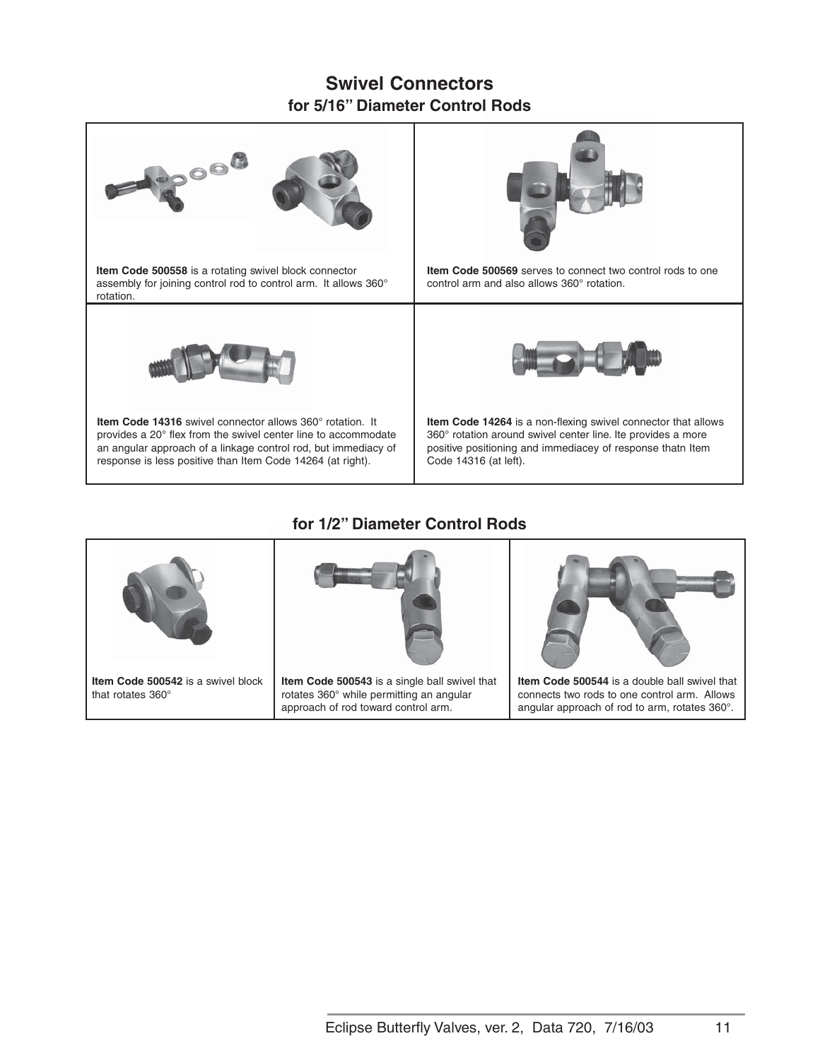# **Swivel Connectors for 5/16" Diameter Control Rods**



# **for 1/2" Diameter Control Rods**